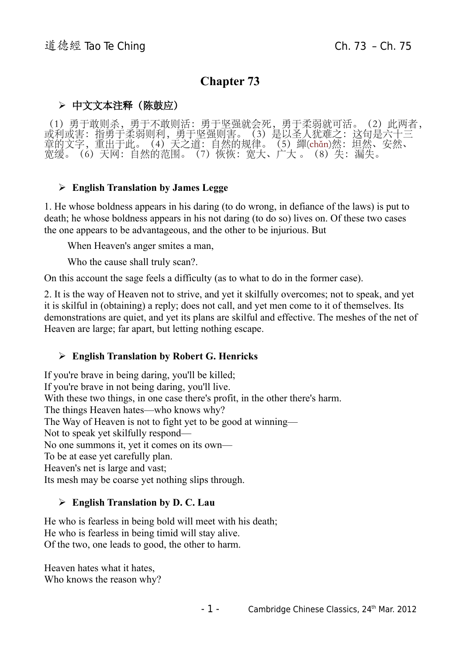# **Chapter 73**

## ➢ 中文文本注释(陈鼓应)

(1)勇于敢则杀,勇于不敢则活:勇于坚强就会死,勇于柔弱就可活。(2)此两者, 或利或害:指勇于柔弱则利,勇于坚强则害。(3)是以圣人犹难之:这句是六十三 章的文字,重出于此。(4)天之道:自然的规律。(5)繟(chǎn)然:坦然、安然、 宽缓。(6)天网:自然的范围。(7)恢恢:宽大、广大 。(8)失:漏失。

#### ➢ **English Translation by James Legge**

1. He whose boldness appears in his daring (to do wrong, in defiance of the laws) is put to death; he whose boldness appears in his not daring (to do so) lives on. Of these two cases the one appears to be advantageous, and the other to be injurious. But

When Heaven's anger smites a man,

Who the cause shall truly scan?.

On this account the sage feels a difficulty (as to what to do in the former case).

2. It is the way of Heaven not to strive, and yet it skilfully overcomes; not to speak, and yet it is skilful in (obtaining) a reply; does not call, and yet men come to it of themselves. Its demonstrations are quiet, and yet its plans are skilful and effective. The meshes of the net of Heaven are large; far apart, but letting nothing escape.

#### ➢ **English Translation by Robert G. Henricks**

If you're brave in being daring, you'll be killed; If you're brave in not being daring, you'll live. With these two things, in one case there's profit, in the other there's harm. The things Heaven hates—who knows why? The Way of Heaven is not to fight yet to be good at winning— Not to speak yet skilfully respond— No one summons it, yet it comes on its own— To be at ease yet carefully plan. Heaven's net is large and vast; Its mesh may be coarse yet nothing slips through.

#### ➢ **English Translation by D. C. Lau**

He who is fearless in being bold will meet with his death; He who is fearless in being timid will stay alive. Of the two, one leads to good, the other to harm.

Heaven hates what it hates, Who knows the reason why?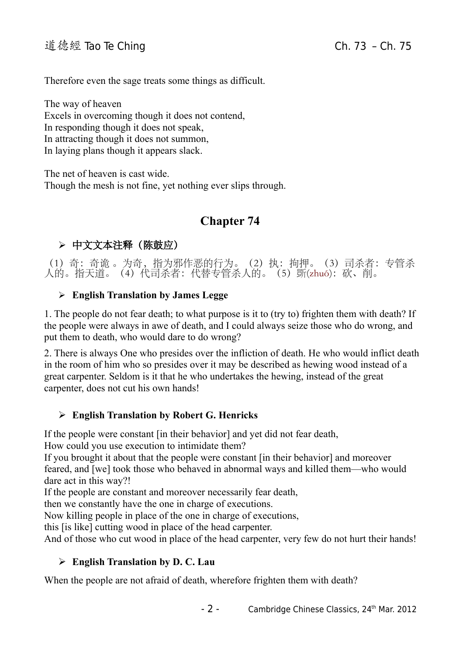Therefore even the sage treats some things as difficult.

The way of heaven Excels in overcoming though it does not contend, In responding though it does not speak, In attracting though it does not summon, In laying plans though it appears slack.

The net of heaven is cast wide. Though the mesh is not fine, yet nothing ever slips through.

# **Chapter 74**

## ➢ 中文文本注释(陈鼓应)

(1)奇:奇诡 。为奇,指为邪作恶的行为。(2)执:拘押。(3)司杀者:专管杀 人的。指天道。(4)代司杀者: 代替专管杀人的。(5)斲(zhuó): 砍、削。

#### ➢ **English Translation by James Legge**

1. The people do not fear death; to what purpose is it to (try to) frighten them with death? If the people were always in awe of death, and I could always seize those who do wrong, and put them to death, who would dare to do wrong?

2. There is always One who presides over the infliction of death. He who would inflict death in the room of him who so presides over it may be described as hewing wood instead of a great carpenter. Seldom is it that he who undertakes the hewing, instead of the great carpenter, does not cut his own hands!

#### ➢ **English Translation by Robert G. Henricks**

If the people were constant [in their behavior] and yet did not fear death, How could you use execution to intimidate them?

If you brought it about that the people were constant [in their behavior] and moreover feared, and [we] took those who behaved in abnormal ways and killed them—who would dare act in this way?!

If the people are constant and moreover necessarily fear death,

then we constantly have the one in charge of executions.

Now killing people in place of the one in charge of executions,

this [is like] cutting wood in place of the head carpenter.

And of those who cut wood in place of the head carpenter, very few do not hurt their hands!

#### ➢ **English Translation by D. C. Lau**

When the people are not afraid of death, wherefore frighten them with death?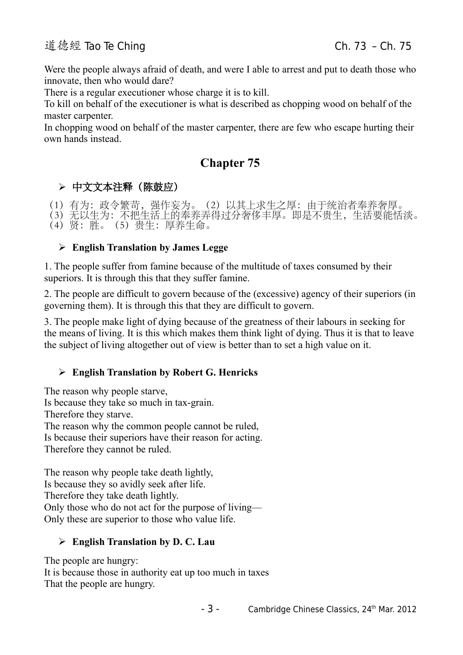Were the people always afraid of death, and were I able to arrest and put to death those who innovate, then who would dare?

There is a regular executioner whose charge it is to kill.

To kill on behalf of the executioner is what is described as chopping wood on behalf of the master carpenter.

In chopping wood on behalf of the master carpenter, there are few who escape hurting their own hands instead.

# **Chapter 75**

## ➢ 中文文本注释(陈鼓应)

(1)有为:政令繁苛,强作妄为。(2)以其上求生之厚:由于统治者奉养奢厚。 (3)无以生为:不把生活上的奉养弄得过分奢侈丰厚。即是不贵生,生活要能恬淡。 (4)贤:胜。(5)贵生:厚养生命。

### ➢ **English Translation by James Legge**

1. The people suffer from famine because of the multitude of taxes consumed by their superiors. It is through this that they suffer famine.

2. The people are difficult to govern because of the (excessive) agency of their superiors (in governing them). It is through this that they are difficult to govern.

3. The people make light of dying because of the greatness of their labours in seeking for the means of living. It is this which makes them think light of dying. Thus it is that to leave the subject of living altogether out of view is better than to set a high value on it.

## ➢ **English Translation by Robert G. Henricks**

The reason why people starve, Is because they take so much in tax-grain. Therefore they starve. The reason why the common people cannot be ruled, Is because their superiors have their reason for acting. Therefore they cannot be ruled.

The reason why people take death lightly, Is because they so avidly seek after life. Therefore they take death lightly. Only those who do not act for the purpose of living— Only these are superior to those who value life.

## ➢ **English Translation by D. C. Lau**

The people are hungry: It is because those in authority eat up too much in taxes That the people are hungry.